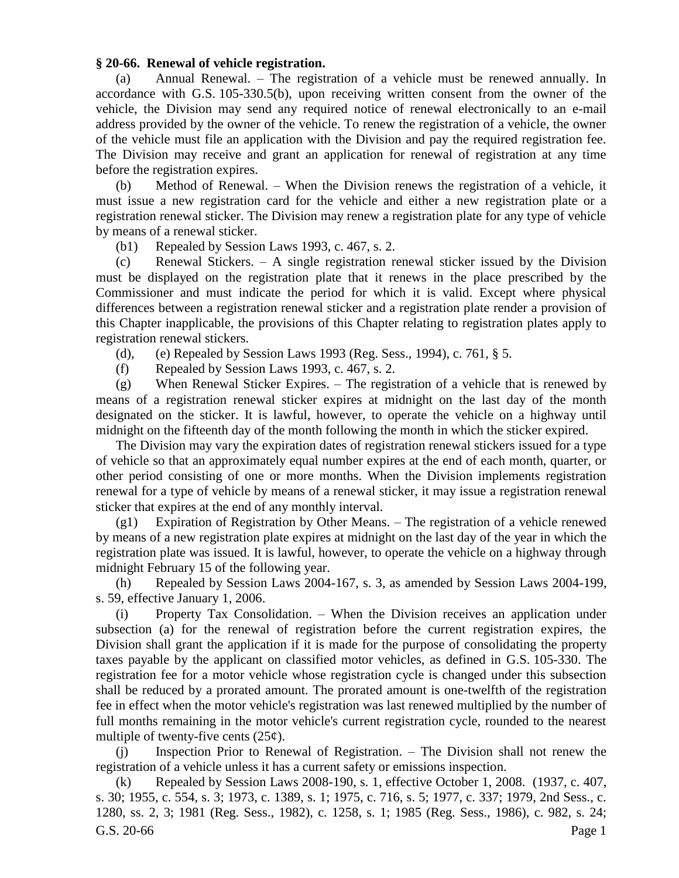## **§ 20-66. Renewal of vehicle registration.**

(a) Annual Renewal. – The registration of a vehicle must be renewed annually. In accordance with G.S. 105-330.5(b), upon receiving written consent from the owner of the vehicle, the Division may send any required notice of renewal electronically to an e-mail address provided by the owner of the vehicle. To renew the registration of a vehicle, the owner of the vehicle must file an application with the Division and pay the required registration fee. The Division may receive and grant an application for renewal of registration at any time before the registration expires.

(b) Method of Renewal. – When the Division renews the registration of a vehicle, it must issue a new registration card for the vehicle and either a new registration plate or a registration renewal sticker. The Division may renew a registration plate for any type of vehicle by means of a renewal sticker.

(b1) Repealed by Session Laws 1993, c. 467, s. 2.

(c) Renewal Stickers. – A single registration renewal sticker issued by the Division must be displayed on the registration plate that it renews in the place prescribed by the Commissioner and must indicate the period for which it is valid. Except where physical differences between a registration renewal sticker and a registration plate render a provision of this Chapter inapplicable, the provisions of this Chapter relating to registration plates apply to registration renewal stickers.

(d), (e) Repealed by Session Laws 1993 (Reg. Sess., 1994), c. 761, § 5.

(f) Repealed by Session Laws 1993, c. 467, s. 2.

(g) When Renewal Sticker Expires. – The registration of a vehicle that is renewed by means of a registration renewal sticker expires at midnight on the last day of the month designated on the sticker. It is lawful, however, to operate the vehicle on a highway until midnight on the fifteenth day of the month following the month in which the sticker expired.

The Division may vary the expiration dates of registration renewal stickers issued for a type of vehicle so that an approximately equal number expires at the end of each month, quarter, or other period consisting of one or more months. When the Division implements registration renewal for a type of vehicle by means of a renewal sticker, it may issue a registration renewal sticker that expires at the end of any monthly interval.

(g1) Expiration of Registration by Other Means. – The registration of a vehicle renewed by means of a new registration plate expires at midnight on the last day of the year in which the registration plate was issued. It is lawful, however, to operate the vehicle on a highway through midnight February 15 of the following year.

(h) Repealed by Session Laws 2004-167, s. 3, as amended by Session Laws 2004-199, s. 59, effective January 1, 2006.

(i) Property Tax Consolidation. – When the Division receives an application under subsection (a) for the renewal of registration before the current registration expires, the Division shall grant the application if it is made for the purpose of consolidating the property taxes payable by the applicant on classified motor vehicles, as defined in G.S. 105-330. The registration fee for a motor vehicle whose registration cycle is changed under this subsection shall be reduced by a prorated amount. The prorated amount is one-twelfth of the registration fee in effect when the motor vehicle's registration was last renewed multiplied by the number of full months remaining in the motor vehicle's current registration cycle, rounded to the nearest multiple of twenty-five cents  $(25¢)$ .

(j) Inspection Prior to Renewal of Registration. – The Division shall not renew the registration of a vehicle unless it has a current safety or emissions inspection.

G.S. 20-66 Page 1 (k) Repealed by Session Laws 2008-190, s. 1, effective October 1, 2008. (1937, c. 407, s. 30; 1955, c. 554, s. 3; 1973, c. 1389, s. 1; 1975, c. 716, s. 5; 1977, c. 337; 1979, 2nd Sess., c. 1280, ss. 2, 3; 1981 (Reg. Sess., 1982), c. 1258, s. 1; 1985 (Reg. Sess., 1986), c. 982, s. 24;